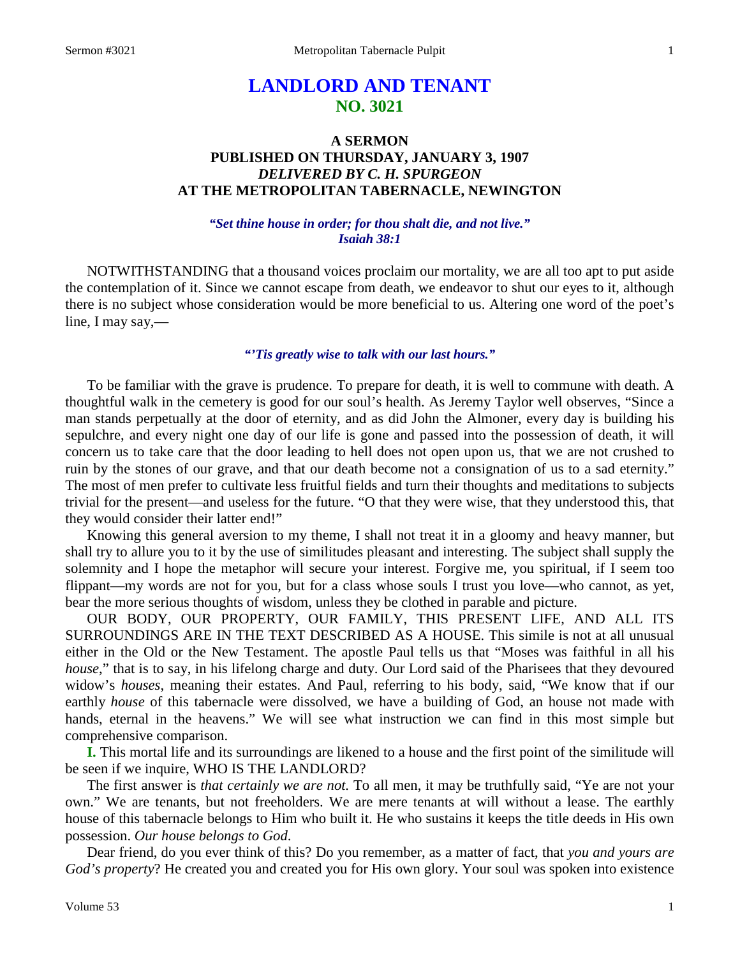# **LANDLORD AND TENANT NO. 3021**

# **A SERMON PUBLISHED ON THURSDAY, JANUARY 3, 1907** *DELIVERED BY C. H. SPURGEON* **AT THE METROPOLITAN TABERNACLE, NEWINGTON**

### *"Set thine house in order; for thou shalt die, and not live." Isaiah 38:1*

NOTWITHSTANDING that a thousand voices proclaim our mortality, we are all too apt to put aside the contemplation of it. Since we cannot escape from death, we endeavor to shut our eyes to it, although there is no subject whose consideration would be more beneficial to us. Altering one word of the poet's line, I may say,—

## *"'Tis greatly wise to talk with our last hours."*

To be familiar with the grave is prudence. To prepare for death, it is well to commune with death. A thoughtful walk in the cemetery is good for our soul's health. As Jeremy Taylor well observes, "Since a man stands perpetually at the door of eternity, and as did John the Almoner, every day is building his sepulchre, and every night one day of our life is gone and passed into the possession of death, it will concern us to take care that the door leading to hell does not open upon us, that we are not crushed to ruin by the stones of our grave, and that our death become not a consignation of us to a sad eternity." The most of men prefer to cultivate less fruitful fields and turn their thoughts and meditations to subjects trivial for the present—and useless for the future. "O that they were wise, that they understood this, that they would consider their latter end!"

Knowing this general aversion to my theme, I shall not treat it in a gloomy and heavy manner, but shall try to allure you to it by the use of similitudes pleasant and interesting. The subject shall supply the solemnity and I hope the metaphor will secure your interest. Forgive me, you spiritual, if I seem too flippant—my words are not for you, but for a class whose souls I trust you love—who cannot, as yet, bear the more serious thoughts of wisdom, unless they be clothed in parable and picture.

OUR BODY, OUR PROPERTY, OUR FAMILY, THIS PRESENT LIFE, AND ALL ITS SURROUNDINGS ARE IN THE TEXT DESCRIBED AS A HOUSE. This simile is not at all unusual either in the Old or the New Testament. The apostle Paul tells us that "Moses was faithful in all his *house*," that is to say, in his lifelong charge and duty. Our Lord said of the Pharisees that they devoured widow's *houses*, meaning their estates. And Paul, referring to his body, said, "We know that if our earthly *house* of this tabernacle were dissolved, we have a building of God, an house not made with hands, eternal in the heavens." We will see what instruction we can find in this most simple but comprehensive comparison.

**I.** This mortal life and its surroundings are likened to a house and the first point of the similitude will be seen if we inquire, WHO IS THE LANDLORD?

The first answer is *that certainly we are not.* To all men, it may be truthfully said, "Ye are not your own." We are tenants, but not freeholders. We are mere tenants at will without a lease. The earthly house of this tabernacle belongs to Him who built it. He who sustains it keeps the title deeds in His own possession. *Our house belongs to God*.

Dear friend, do you ever think of this? Do you remember, as a matter of fact, that *you and yours are God's property*? He created you and created you for His own glory. Your soul was spoken into existence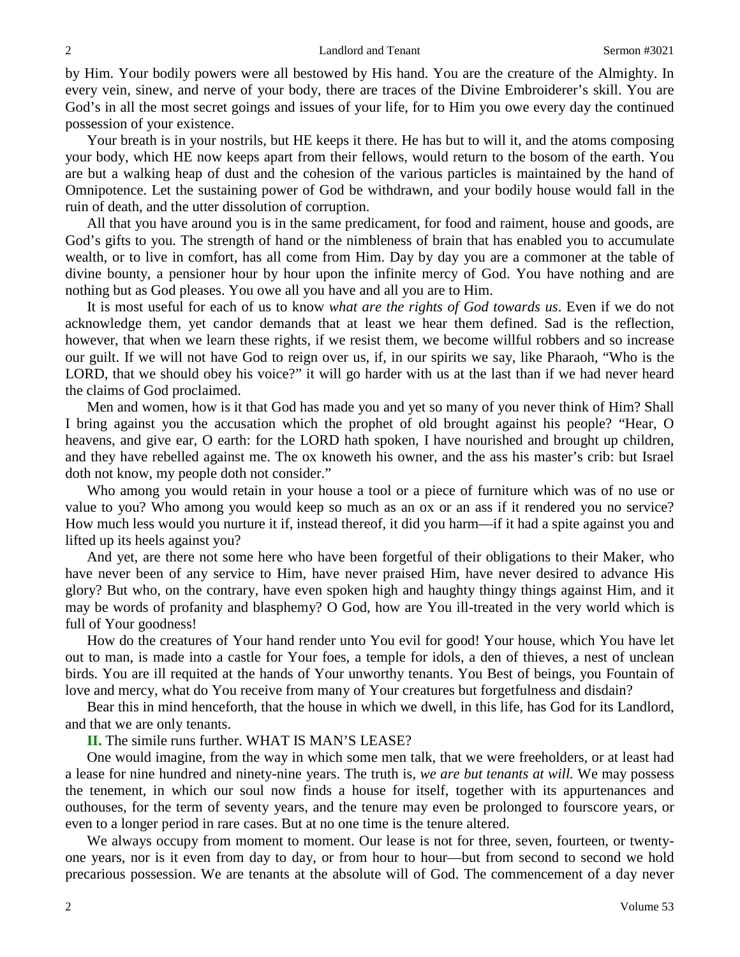by Him. Your bodily powers were all bestowed by His hand. You are the creature of the Almighty. In every vein, sinew, and nerve of your body, there are traces of the Divine Embroiderer's skill. You are God's in all the most secret goings and issues of your life, for to Him you owe every day the continued possession of your existence.

Your breath is in your nostrils, but HE keeps it there. He has but to will it, and the atoms composing your body, which HE now keeps apart from their fellows, would return to the bosom of the earth. You are but a walking heap of dust and the cohesion of the various particles is maintained by the hand of Omnipotence. Let the sustaining power of God be withdrawn, and your bodily house would fall in the ruin of death, and the utter dissolution of corruption.

All that you have around you is in the same predicament, for food and raiment, house and goods, are God's gifts to you. The strength of hand or the nimbleness of brain that has enabled you to accumulate wealth, or to live in comfort, has all come from Him. Day by day you are a commoner at the table of divine bounty, a pensioner hour by hour upon the infinite mercy of God. You have nothing and are nothing but as God pleases. You owe all you have and all you are to Him.

It is most useful for each of us to know *what are the rights of God towards us*. Even if we do not acknowledge them, yet candor demands that at least we hear them defined. Sad is the reflection, however, that when we learn these rights, if we resist them, we become willful robbers and so increase our guilt. If we will not have God to reign over us, if, in our spirits we say, like Pharaoh, "Who is the LORD, that we should obey his voice?" it will go harder with us at the last than if we had never heard the claims of God proclaimed.

Men and women, how is it that God has made you and yet so many of you never think of Him? Shall I bring against you the accusation which the prophet of old brought against his people? "Hear, O heavens, and give ear, O earth: for the LORD hath spoken, I have nourished and brought up children, and they have rebelled against me. The ox knoweth his owner, and the ass his master's crib: but Israel doth not know, my people doth not consider."

Who among you would retain in your house a tool or a piece of furniture which was of no use or value to you? Who among you would keep so much as an ox or an ass if it rendered you no service? How much less would you nurture it if, instead thereof, it did you harm—if it had a spite against you and lifted up its heels against you?

And yet, are there not some here who have been forgetful of their obligations to their Maker, who have never been of any service to Him, have never praised Him, have never desired to advance His glory? But who, on the contrary, have even spoken high and haughty thingy things against Him, and it may be words of profanity and blasphemy? O God, how are You ill-treated in the very world which is full of Your goodness!

How do the creatures of Your hand render unto You evil for good! Your house, which You have let out to man, is made into a castle for Your foes, a temple for idols, a den of thieves, a nest of unclean birds. You are ill requited at the hands of Your unworthy tenants. You Best of beings, you Fountain of love and mercy, what do You receive from many of Your creatures but forgetfulness and disdain?

Bear this in mind henceforth, that the house in which we dwell, in this life, has God for its Landlord, and that we are only tenants.

**II.** The simile runs further. WHAT IS MAN'S LEASE?

One would imagine, from the way in which some men talk, that we were freeholders, or at least had a lease for nine hundred and ninety-nine years. The truth is, *we are but tenants at will.* We may possess the tenement, in which our soul now finds a house for itself, together with its appurtenances and outhouses, for the term of seventy years, and the tenure may even be prolonged to fourscore years, or even to a longer period in rare cases. But at no one time is the tenure altered.

We always occupy from moment to moment. Our lease is not for three, seven, fourteen, or twentyone years, nor is it even from day to day, or from hour to hour—but from second to second we hold precarious possession. We are tenants at the absolute will of God. The commencement of a day never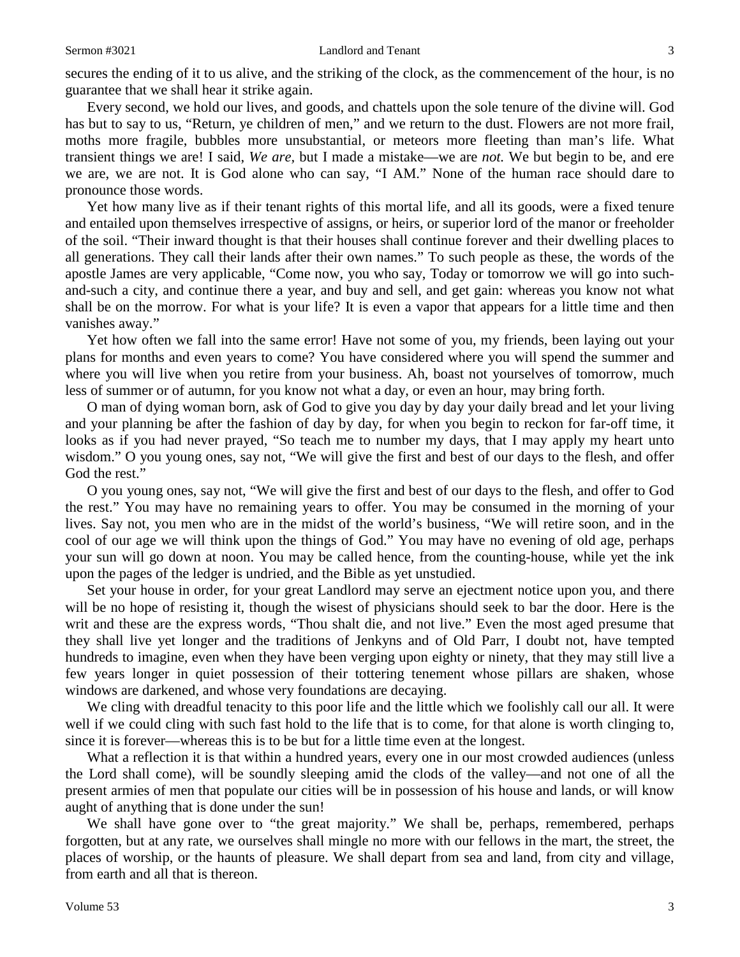secures the ending of it to us alive, and the striking of the clock, as the commencement of the hour, is no guarantee that we shall hear it strike again.

Every second, we hold our lives, and goods, and chattels upon the sole tenure of the divine will. God has but to say to us, "Return, ye children of men," and we return to the dust. Flowers are not more frail, moths more fragile, bubbles more unsubstantial, or meteors more fleeting than man's life. What transient things we are! I said, *We are,* but I made a mistake—we are *not.* We but begin to be, and ere we are, we are not. It is God alone who can say, "I AM." None of the human race should dare to pronounce those words.

Yet how many live as if their tenant rights of this mortal life, and all its goods, were a fixed tenure and entailed upon themselves irrespective of assigns, or heirs, or superior lord of the manor or freeholder of the soil. "Their inward thought is that their houses shall continue forever and their dwelling places to all generations. They call their lands after their own names." To such people as these, the words of the apostle James are very applicable, "Come now, you who say, Today or tomorrow we will go into suchand-such a city, and continue there a year, and buy and sell, and get gain: whereas you know not what shall be on the morrow. For what is your life? It is even a vapor that appears for a little time and then vanishes away."

Yet how often we fall into the same error! Have not some of you, my friends, been laying out your plans for months and even years to come? You have considered where you will spend the summer and where you will live when you retire from your business. Ah, boast not yourselves of tomorrow, much less of summer or of autumn, for you know not what a day, or even an hour, may bring forth.

O man of dying woman born, ask of God to give you day by day your daily bread and let your living and your planning be after the fashion of day by day, for when you begin to reckon for far-off time, it looks as if you had never prayed, "So teach me to number my days, that I may apply my heart unto wisdom." O you young ones, say not, "We will give the first and best of our days to the flesh, and offer God the rest."

O you young ones, say not, "We will give the first and best of our days to the flesh, and offer to God the rest." You may have no remaining years to offer. You may be consumed in the morning of your lives. Say not, you men who are in the midst of the world's business, "We will retire soon, and in the cool of our age we will think upon the things of God." You may have no evening of old age, perhaps your sun will go down at noon. You may be called hence, from the counting-house, while yet the ink upon the pages of the ledger is undried, and the Bible as yet unstudied.

Set your house in order, for your great Landlord may serve an ejectment notice upon you, and there will be no hope of resisting it, though the wisest of physicians should seek to bar the door. Here is the writ and these are the express words, "Thou shalt die, and not live." Even the most aged presume that they shall live yet longer and the traditions of Jenkyns and of Old Parr, I doubt not, have tempted hundreds to imagine, even when they have been verging upon eighty or ninety, that they may still live a few years longer in quiet possession of their tottering tenement whose pillars are shaken, whose windows are darkened, and whose very foundations are decaying.

We cling with dreadful tenacity to this poor life and the little which we foolishly call our all. It were well if we could cling with such fast hold to the life that is to come, for that alone is worth clinging to, since it is forever—whereas this is to be but for a little time even at the longest.

What a reflection it is that within a hundred years, every one in our most crowded audiences (unless the Lord shall come), will be soundly sleeping amid the clods of the valley—and not one of all the present armies of men that populate our cities will be in possession of his house and lands, or will know aught of anything that is done under the sun!

We shall have gone over to "the great majority." We shall be, perhaps, remembered, perhaps forgotten, but at any rate, we ourselves shall mingle no more with our fellows in the mart, the street, the places of worship, or the haunts of pleasure. We shall depart from sea and land, from city and village, from earth and all that is thereon.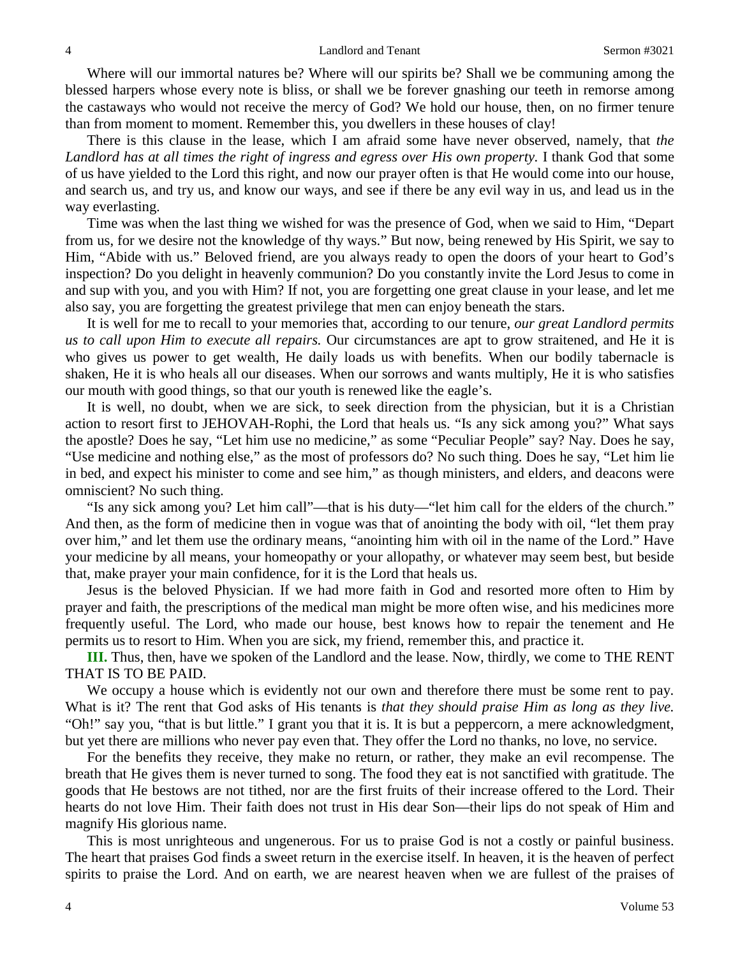Where will our immortal natures be? Where will our spirits be? Shall we be communing among the blessed harpers whose every note is bliss, or shall we be forever gnashing our teeth in remorse among the castaways who would not receive the mercy of God? We hold our house, then, on no firmer tenure than from moment to moment. Remember this, you dwellers in these houses of clay!

There is this clause in the lease, which I am afraid some have never observed, namely, that *the Landlord has at all times the right of ingress and egress over His own property.* I thank God that some of us have yielded to the Lord this right, and now our prayer often is that He would come into our house, and search us, and try us, and know our ways, and see if there be any evil way in us, and lead us in the way everlasting.

Time was when the last thing we wished for was the presence of God, when we said to Him, "Depart from us, for we desire not the knowledge of thy ways." But now, being renewed by His Spirit, we say to Him, "Abide with us." Beloved friend, are you always ready to open the doors of your heart to God's inspection? Do you delight in heavenly communion? Do you constantly invite the Lord Jesus to come in and sup with you, and you with Him? If not, you are forgetting one great clause in your lease, and let me also say, you are forgetting the greatest privilege that men can enjoy beneath the stars.

It is well for me to recall to your memories that, according to our tenure, *our great Landlord permits us to call upon Him to execute all repairs.* Our circumstances are apt to grow straitened, and He it is who gives us power to get wealth, He daily loads us with benefits. When our bodily tabernacle is shaken, He it is who heals all our diseases. When our sorrows and wants multiply, He it is who satisfies our mouth with good things, so that our youth is renewed like the eagle's.

It is well, no doubt, when we are sick, to seek direction from the physician, but it is a Christian action to resort first to JEHOVAH-Rophi, the Lord that heals us. "Is any sick among you?" What says the apostle? Does he say, "Let him use no medicine," as some "Peculiar People" say? Nay. Does he say, "Use medicine and nothing else," as the most of professors do? No such thing. Does he say, "Let him lie in bed, and expect his minister to come and see him," as though ministers, and elders, and deacons were omniscient? No such thing.

"Is any sick among you? Let him call"—that is his duty—"let him call for the elders of the church." And then, as the form of medicine then in vogue was that of anointing the body with oil, "let them pray over him," and let them use the ordinary means, "anointing him with oil in the name of the Lord." Have your medicine by all means, your homeopathy or your allopathy, or whatever may seem best, but beside that, make prayer your main confidence, for it is the Lord that heals us.

Jesus is the beloved Physician. If we had more faith in God and resorted more often to Him by prayer and faith, the prescriptions of the medical man might be more often wise, and his medicines more frequently useful. The Lord, who made our house, best knows how to repair the tenement and He permits us to resort to Him. When you are sick, my friend, remember this, and practice it.

**III.** Thus, then, have we spoken of the Landlord and the lease. Now, thirdly, we come to THE RENT THAT IS TO BE PAID.

We occupy a house which is evidently not our own and therefore there must be some rent to pay. What is it? The rent that God asks of His tenants is *that they should praise Him as long as they live.*  "Oh!" say you, "that is but little." I grant you that it is. It is but a peppercorn, a mere acknowledgment, but yet there are millions who never pay even that. They offer the Lord no thanks, no love, no service.

For the benefits they receive, they make no return, or rather, they make an evil recompense. The breath that He gives them is never turned to song. The food they eat is not sanctified with gratitude. The goods that He bestows are not tithed, nor are the first fruits of their increase offered to the Lord. Their hearts do not love Him. Their faith does not trust in His dear Son—their lips do not speak of Him and magnify His glorious name.

This is most unrighteous and ungenerous. For us to praise God is not a costly or painful business. The heart that praises God finds a sweet return in the exercise itself. In heaven, it is the heaven of perfect spirits to praise the Lord. And on earth, we are nearest heaven when we are fullest of the praises of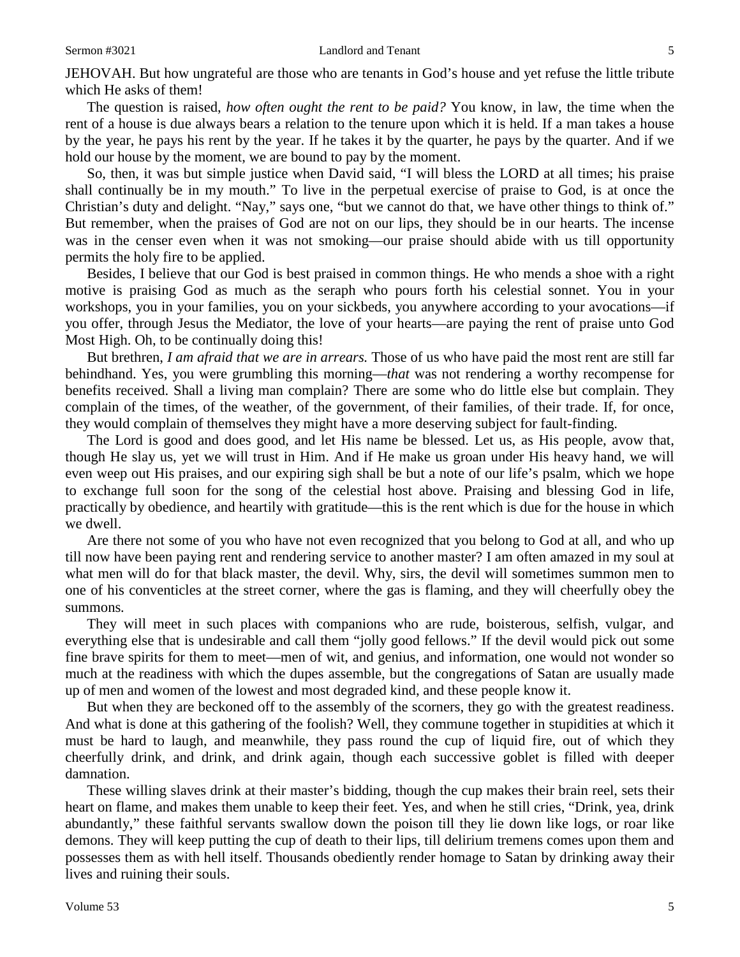JEHOVAH. But how ungrateful are those who are tenants in God's house and yet refuse the little tribute which He asks of them!

The question is raised, *how often ought the rent to be paid?* You know, in law, the time when the rent of a house is due always bears a relation to the tenure upon which it is held. If a man takes a house by the year, he pays his rent by the year. If he takes it by the quarter, he pays by the quarter. And if we hold our house by the moment, we are bound to pay by the moment.

So, then, it was but simple justice when David said, "I will bless the LORD at all times; his praise shall continually be in my mouth." To live in the perpetual exercise of praise to God, is at once the Christian's duty and delight. "Nay," says one, "but we cannot do that, we have other things to think of." But remember, when the praises of God are not on our lips, they should be in our hearts. The incense was in the censer even when it was not smoking—our praise should abide with us till opportunity permits the holy fire to be applied.

Besides, I believe that our God is best praised in common things. He who mends a shoe with a right motive is praising God as much as the seraph who pours forth his celestial sonnet. You in your workshops, you in your families, you on your sickbeds, you anywhere according to your avocations—if you offer, through Jesus the Mediator, the love of your hearts—are paying the rent of praise unto God Most High. Oh, to be continually doing this!

But brethren, *I am afraid that we are in arrears.* Those of us who have paid the most rent are still far behindhand. Yes, you were grumbling this morning—*that* was not rendering a worthy recompense for benefits received. Shall a living man complain? There are some who do little else but complain. They complain of the times, of the weather, of the government, of their families, of their trade. If, for once, they would complain of themselves they might have a more deserving subject for fault-finding.

The Lord is good and does good, and let His name be blessed. Let us, as His people, avow that, though He slay us, yet we will trust in Him. And if He make us groan under His heavy hand, we will even weep out His praises, and our expiring sigh shall be but a note of our life's psalm, which we hope to exchange full soon for the song of the celestial host above. Praising and blessing God in life, practically by obedience, and heartily with gratitude—this is the rent which is due for the house in which we dwell.

Are there not some of you who have not even recognized that you belong to God at all, and who up till now have been paying rent and rendering service to another master? I am often amazed in my soul at what men will do for that black master, the devil. Why, sirs, the devil will sometimes summon men to one of his conventicles at the street corner, where the gas is flaming, and they will cheerfully obey the summons*.* 

They will meet in such places with companions who are rude, boisterous, selfish, vulgar, and everything else that is undesirable and call them "jolly good fellows." If the devil would pick out some fine brave spirits for them to meet—men of wit, and genius, and information, one would not wonder so much at the readiness with which the dupes assemble, but the congregations of Satan are usually made up of men and women of the lowest and most degraded kind, and these people know it.

But when they are beckoned off to the assembly of the scorners, they go with the greatest readiness. And what is done at this gathering of the foolish? Well, they commune together in stupidities at which it must be hard to laugh, and meanwhile, they pass round the cup of liquid fire, out of which they cheerfully drink, and drink, and drink again, though each successive goblet is filled with deeper damnation.

These willing slaves drink at their master's bidding, though the cup makes their brain reel, sets their heart on flame, and makes them unable to keep their feet. Yes, and when he still cries, "Drink, yea, drink abundantly," these faithful servants swallow down the poison till they lie down like logs, or roar like demons. They will keep putting the cup of death to their lips, till delirium tremens comes upon them and possesses them as with hell itself. Thousands obediently render homage to Satan by drinking away their lives and ruining their souls.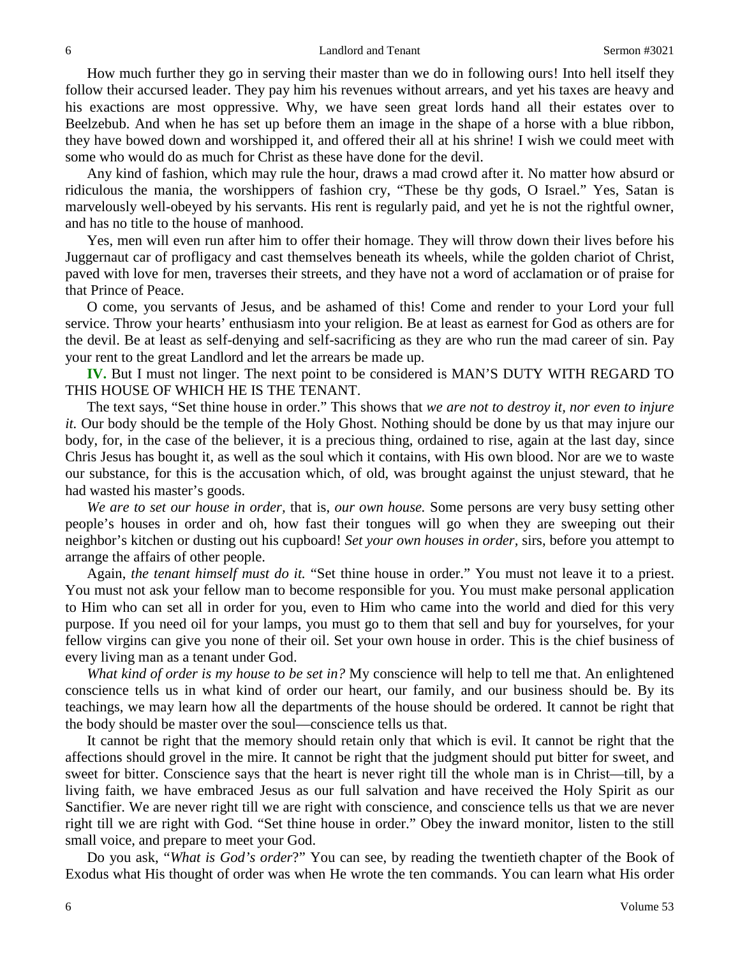How much further they go in serving their master than we do in following ours! Into hell itself they follow their accursed leader. They pay him his revenues without arrears, and yet his taxes are heavy and his exactions are most oppressive. Why, we have seen great lords hand all their estates over to Beelzebub. And when he has set up before them an image in the shape of a horse with a blue ribbon, they have bowed down and worshipped it, and offered their all at his shrine! I wish we could meet with some who would do as much for Christ as these have done for the devil.

Any kind of fashion, which may rule the hour, draws a mad crowd after it. No matter how absurd or ridiculous the mania, the worshippers of fashion cry, "These be thy gods, O Israel." Yes, Satan is marvelously well-obeyed by his servants. His rent is regularly paid, and yet he is not the rightful owner, and has no title to the house of manhood.

Yes, men will even run after him to offer their homage. They will throw down their lives before his Juggernaut car of profligacy and cast themselves beneath its wheels, while the golden chariot of Christ, paved with love for men, traverses their streets, and they have not a word of acclamation or of praise for that Prince of Peace.

O come, you servants of Jesus, and be ashamed of this! Come and render to your Lord your full service. Throw your hearts' enthusiasm into your religion. Be at least as earnest for God as others are for the devil. Be at least as self-denying and self-sacrificing as they are who run the mad career of sin. Pay your rent to the great Landlord and let the arrears be made up.

**IV.** But I must not linger. The next point to be considered is MAN'S DUTY WITH REGARD TO THIS HOUSE OF WHICH HE IS THE TENANT.

The text says, "Set thine house in order." This shows that *we are not to destroy it, nor even to injure it.* Our body should be the temple of the Holy Ghost. Nothing should be done by us that may injure our body, for, in the case of the believer, it is a precious thing, ordained to rise, again at the last day, since Chris Jesus has bought it, as well as the soul which it contains, with His own blood. Nor are we to waste our substance, for this is the accusation which, of old, was brought against the unjust steward, that he had wasted his master's goods.

*We are to set our house in order,* that is, *our own house.* Some persons are very busy setting other people's houses in order and oh, how fast their tongues will go when they are sweeping out their neighbor's kitchen or dusting out his cupboard! *Set your own houses in order,* sirs, before you attempt to arrange the affairs of other people.

Again, *the tenant himself must do it.* "Set thine house in order." You must not leave it to a priest. You must not ask your fellow man to become responsible for you. You must make personal application to Him who can set all in order for you, even to Him who came into the world and died for this very purpose. If you need oil for your lamps, you must go to them that sell and buy for yourselves, for your fellow virgins can give you none of their oil. Set your own house in order. This is the chief business of every living man as a tenant under God.

*What kind of order is my house to be set in?* My conscience will help to tell me that. An enlightened conscience tells us in what kind of order our heart, our family, and our business should be. By its teachings, we may learn how all the departments of the house should be ordered. It cannot be right that the body should be master over the soul—conscience tells us that.

It cannot be right that the memory should retain only that which is evil. It cannot be right that the affections should grovel in the mire. It cannot be right that the judgment should put bitter for sweet, and sweet for bitter. Conscience says that the heart is never right till the whole man is in Christ—till, by a living faith, we have embraced Jesus as our full salvation and have received the Holy Spirit as our Sanctifier. We are never right till we are right with conscience, and conscience tells us that we are never right till we are right with God. "Set thine house in order." Obey the inward monitor, listen to the still small voice, and prepare to meet your God.

Do you ask, "*What is God's order*?" You can see, by reading the twentieth chapter of the Book of Exodus what His thought of order was when He wrote the ten commands. You can learn what His order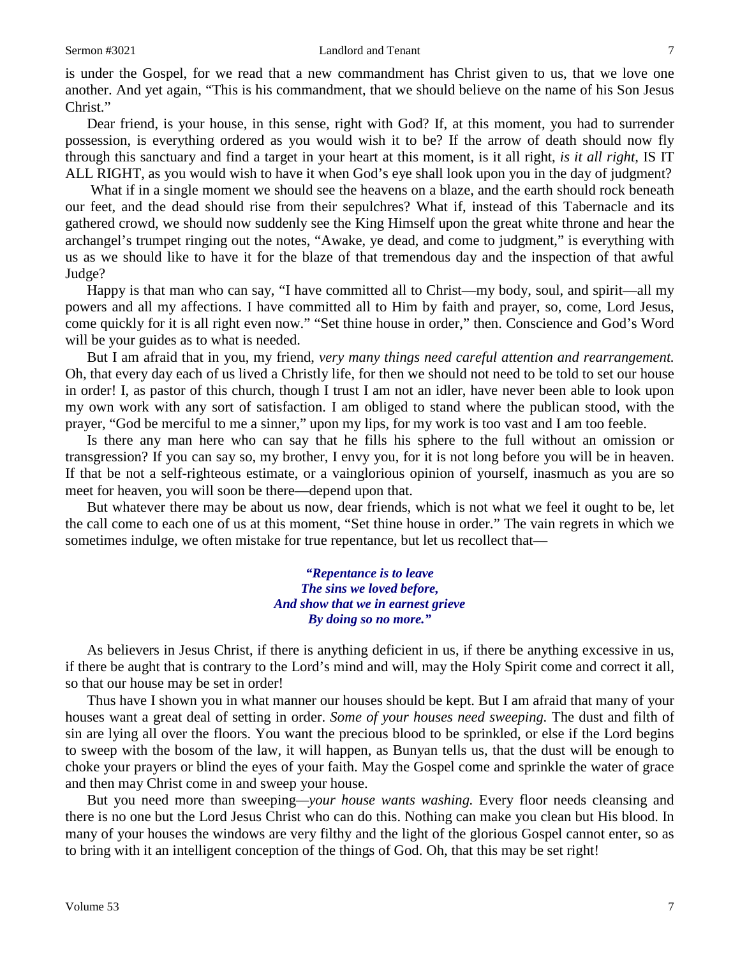### Sermon #3021 **Landlord and Tenant** 7

is under the Gospel, for we read that a new commandment has Christ given to us, that we love one another. And yet again, "This is his commandment, that we should believe on the name of his Son Jesus Christ."

Dear friend, is your house, in this sense, right with God? If, at this moment, you had to surrender possession, is everything ordered as you would wish it to be? If the arrow of death should now fly through this sanctuary and find a target in your heart at this moment, is it all right, *is it all right,* IS IT ALL RIGHT, as you would wish to have it when God's eye shall look upon you in the day of judgment?

What if in a single moment we should see the heavens on a blaze, and the earth should rock beneath our feet, and the dead should rise from their sepulchres? What if, instead of this Tabernacle and its gathered crowd, we should now suddenly see the King Himself upon the great white throne and hear the archangel's trumpet ringing out the notes, "Awake, ye dead, and come to judgment," is everything with us as we should like to have it for the blaze of that tremendous day and the inspection of that awful Judge?

Happy is that man who can say, "I have committed all to Christ—my body, soul, and spirit—all my powers and all my affections. I have committed all to Him by faith and prayer, so, come, Lord Jesus, come quickly for it is all right even now." "Set thine house in order," then. Conscience and God's Word will be your guides as to what is needed.

But I am afraid that in you, my friend, *very many things need careful attention and rearrangement.* Oh, that every day each of us lived a Christly life, for then we should not need to be told to set our house in order! I, as pastor of this church, though I trust I am not an idler, have never been able to look upon my own work with any sort of satisfaction. I am obliged to stand where the publican stood, with the prayer, "God be merciful to me a sinner," upon my lips, for my work is too vast and I am too feeble.

Is there any man here who can say that he fills his sphere to the full without an omission or transgression? If you can say so, my brother, I envy you, for it is not long before you will be in heaven. If that be not a self-righteous estimate, or a vainglorious opinion of yourself, inasmuch as you are so meet for heaven, you will soon be there—depend upon that.

But whatever there may be about us now, dear friends, which is not what we feel it ought to be, let the call come to each one of us at this moment, "Set thine house in order." The vain regrets in which we sometimes indulge, we often mistake for true repentance, but let us recollect that—

> *"Repentance is to leave The sins we loved before, And show that we in earnest grieve By doing so no more."*

As believers in Jesus Christ, if there is anything deficient in us, if there be anything excessive in us, if there be aught that is contrary to the Lord's mind and will, may the Holy Spirit come and correct it all, so that our house may be set in order!

Thus have I shown you in what manner our houses should be kept. But I am afraid that many of your houses want a great deal of setting in order. *Some of your houses need sweeping.* The dust and filth of sin are lying all over the floors. You want the precious blood to be sprinkled, or else if the Lord begins to sweep with the bosom of the law, it will happen, as Bunyan tells us, that the dust will be enough to choke your prayers or blind the eyes of your faith. May the Gospel come and sprinkle the water of grace and then may Christ come in and sweep your house.

But you need more than sweeping*—your house wants washing.* Every floor needs cleansing and there is no one but the Lord Jesus Christ who can do this. Nothing can make you clean but His blood. In many of your houses the windows are very filthy and the light of the glorious Gospel cannot enter, so as to bring with it an intelligent conception of the things of God. Oh, that this may be set right!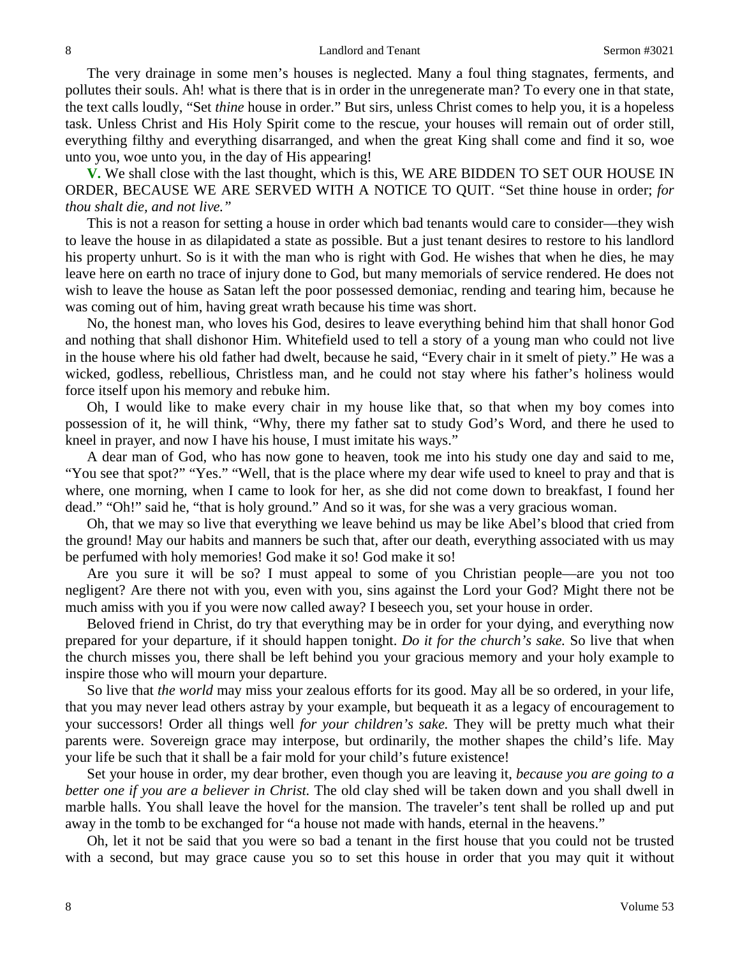The very drainage in some men's houses is neglected. Many a foul thing stagnates, ferments, and pollutes their souls. Ah! what is there that is in order in the unregenerate man? To every one in that state, the text calls loudly, "Set *thine* house in order." But sirs, unless Christ comes to help you, it is a hopeless task. Unless Christ and His Holy Spirit come to the rescue, your houses will remain out of order still, everything filthy and everything disarranged, and when the great King shall come and find it so, woe unto you, woe unto you, in the day of His appearing!

**V.** We shall close with the last thought, which is this, WE ARE BIDDEN TO SET OUR HOUSE IN ORDER, BECAUSE WE ARE SERVED WITH A NOTICE TO QUIT. "Set thine house in order; *for thou shalt die, and not live."*

This is not a reason for setting a house in order which bad tenants would care to consider—they wish to leave the house in as dilapidated a state as possible. But a just tenant desires to restore to his landlord his property unhurt. So is it with the man who is right with God. He wishes that when he dies, he may leave here on earth no trace of injury done to God, but many memorials of service rendered. He does not wish to leave the house as Satan left the poor possessed demoniac, rending and tearing him, because he was coming out of him, having great wrath because his time was short.

No, the honest man, who loves his God, desires to leave everything behind him that shall honor God and nothing that shall dishonor Him. Whitefield used to tell a story of a young man who could not live in the house where his old father had dwelt, because he said, "Every chair in it smelt of piety." He was a wicked, godless, rebellious, Christless man, and he could not stay where his father's holiness would force itself upon his memory and rebuke him.

Oh, I would like to make every chair in my house like that, so that when my boy comes into possession of it, he will think, "Why, there my father sat to study God's Word, and there he used to kneel in prayer, and now I have his house, I must imitate his ways."

A dear man of God, who has now gone to heaven, took me into his study one day and said to me, "You see that spot?" "Yes." "Well, that is the place where my dear wife used to kneel to pray and that is where, one morning, when I came to look for her, as she did not come down to breakfast, I found her dead." "Oh!" said he, "that is holy ground." And so it was, for she was a very gracious woman.

Oh, that we may so live that everything we leave behind us may be like Abel's blood that cried from the ground! May our habits and manners be such that, after our death, everything associated with us may be perfumed with holy memories! God make it so! God make it so!

Are you sure it will be so? I must appeal to some of you Christian people—are you not too negligent? Are there not with you, even with you, sins against the Lord your God? Might there not be much amiss with you if you were now called away? I beseech you, set your house in order.

Beloved friend in Christ, do try that everything may be in order for your dying, and everything now prepared for your departure, if it should happen tonight. *Do it for the church's sake.* So live that when the church misses you, there shall be left behind you your gracious memory and your holy example to inspire those who will mourn your departure.

So live that *the world* may miss your zealous efforts for its good. May all be so ordered, in your life, that you may never lead others astray by your example, but bequeath it as a legacy of encouragement to your successors! Order all things well *for your children's sake.* They will be pretty much what their parents were. Sovereign grace may interpose, but ordinarily, the mother shapes the child's life. May your life be such that it shall be a fair mold for your child's future existence!

Set your house in order, my dear brother, even though you are leaving it, *because you are going to a better one if you are a believer in Christ.* The old clay shed will be taken down and you shall dwell in marble halls. You shall leave the hovel for the mansion. The traveler's tent shall be rolled up and put away in the tomb to be exchanged for "a house not made with hands, eternal in the heavens."

Oh, let it not be said that you were so bad a tenant in the first house that you could not be trusted with a second, but may grace cause you so to set this house in order that you may quit it without